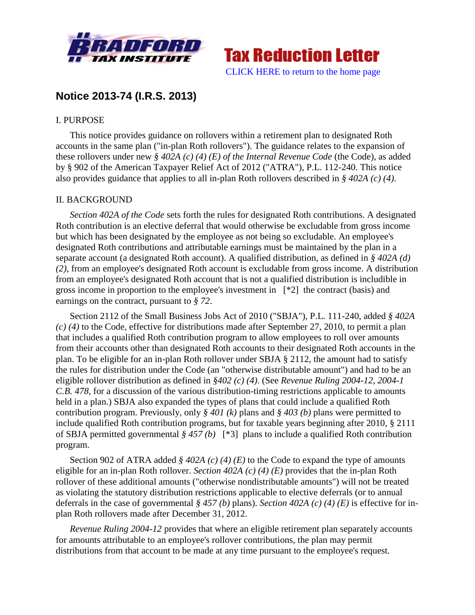



# **Notice 2013-74 (I.R.S. 2013)**

# I. PURPOSE

This notice provides guidance on rollovers within a retirement plan to designated Roth accounts in the same plan ("in-plan Roth rollovers"). The guidance relates to the expansion of these rollovers under new *§ 402A (c) (4) (E) of the Internal Revenue Code* (the Code), as added by § 902 of the American Taxpayer Relief Act of 2012 ("ATRA"), P.L. 112-240. This notice also provides guidance that applies to all in-plan Roth rollovers described in *§ 402A (c) (4)*.

## II. BACKGROUND

*Section 402A of the Code* sets forth the rules for designated Roth contributions. A designated Roth contribution is an elective deferral that would otherwise be excludable from gross income but which has been designated by the employee as not being so excludable. An employee's designated Roth contributions and attributable earnings must be maintained by the plan in a separate account (a designated Roth account). A qualified distribution, as defined in *§ 402A (d) (2)*, from an employee's designated Roth account is excludable from gross income. A distribution from an employee's designated Roth account that is not a qualified distribution is includible in gross income in proportion to the employee's investment in [\*2] the contract (basis) and earnings on the contract, pursuant to *§ 72*.

Section 2112 of the Small Business Jobs Act of 2010 ("SBJA"), P.L. 111-240, added *§ 402A (c) (4)* to the Code, effective for distributions made after September 27, 2010, to permit a plan that includes a qualified Roth contribution program to allow employees to roll over amounts from their accounts other than designated Roth accounts to their designated Roth accounts in the plan. To be eligible for an in-plan Roth rollover under SBJA § 2112, the amount had to satisfy the rules for distribution under the Code (an "otherwise distributable amount") and had to be an eligible rollover distribution as defined in *§402 (c) (4)*. (See *Revenue Ruling 2004-12, 2004-1 C.B. 478*, for a discussion of the various distribution-timing restrictions applicable to amounts held in a plan.) SBJA also expanded the types of plans that could include a qualified Roth contribution program. Previously, only *§ 401 (k)* plans and *§ 403 (b)* plans were permitted to include qualified Roth contribution programs, but for taxable years beginning after 2010, § 2111 of SBJA permitted governmental *§ 457 (b)* [\*3] plans to include a qualified Roth contribution program.

Section 902 of ATRA added *§ 402A (c) (4) (E)* to the Code to expand the type of amounts eligible for an in-plan Roth rollover. *Section 402A (c) (4) (E)* provides that the in-plan Roth rollover of these additional amounts ("otherwise nondistributable amounts") will not be treated as violating the statutory distribution restrictions applicable to elective deferrals (or to annual deferrals in the case of governmental *§ 457 (b)* plans). *Section 402A (c) (4) (E)* is effective for inplan Roth rollovers made after December 31, 2012.

*Revenue Ruling 2004-12* provides that where an eligible retirement plan separately accounts for amounts attributable to an employee's rollover contributions, the plan may permit distributions from that account to be made at any time pursuant to the employee's request.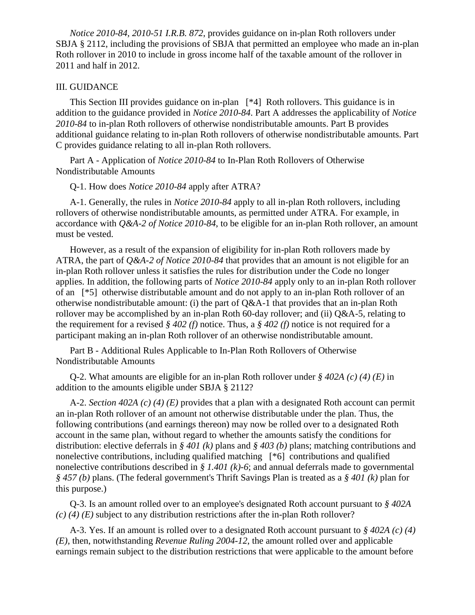*Notice 2010-84, 2010-51 I.R.B. 872*, provides guidance on in-plan Roth rollovers under SBJA § 2112, including the provisions of SBJA that permitted an employee who made an in-plan Roth rollover in 2010 to include in gross income half of the taxable amount of the rollover in 2011 and half in 2012.

### III. GUIDANCE

This Section III provides guidance on in-plan [\*4] Roth rollovers. This guidance is in addition to the guidance provided in *Notice 2010-84*. Part A addresses the applicability of *Notice 2010-84* to in-plan Roth rollovers of otherwise nondistributable amounts. Part B provides additional guidance relating to in-plan Roth rollovers of otherwise nondistributable amounts. Part C provides guidance relating to all in-plan Roth rollovers.

Part A - Application of *Notice 2010-84* to In-Plan Roth Rollovers of Otherwise Nondistributable Amounts

Q-1. How does *Notice 2010-84* apply after ATRA?

A-1. Generally, the rules in *Notice 2010-84* apply to all in-plan Roth rollovers, including rollovers of otherwise nondistributable amounts, as permitted under ATRA. For example, in accordance with *Q&A-2 of Notice 2010-84*, to be eligible for an in-plan Roth rollover, an amount must be vested.

However, as a result of the expansion of eligibility for in-plan Roth rollovers made by ATRA, the part of *Q&A-2 of Notice 2010-84* that provides that an amount is not eligible for an in-plan Roth rollover unless it satisfies the rules for distribution under the Code no longer applies. In addition, the following parts of *Notice 2010-84* apply only to an in-plan Roth rollover of an [\*5] otherwise distributable amount and do not apply to an in-plan Roth rollover of an otherwise nondistributable amount: (i) the part of Q&A-1 that provides that an in-plan Roth rollover may be accomplished by an in-plan Roth 60-day rollover; and (ii)  $Q&A-5$ , relating to the requirement for a revised *§ 402 (f)* notice. Thus, a *§ 402 (f)* notice is not required for a participant making an in-plan Roth rollover of an otherwise nondistributable amount.

Part B - Additional Rules Applicable to In-Plan Roth Rollovers of Otherwise Nondistributable Amounts

Q-2. What amounts are eligible for an in-plan Roth rollover under *§ 402A (c) (4) (E)* in addition to the amounts eligible under SBJA § 2112?

A-2. *Section 402A (c) (4) (E)* provides that a plan with a designated Roth account can permit an in-plan Roth rollover of an amount not otherwise distributable under the plan. Thus, the following contributions (and earnings thereon) may now be rolled over to a designated Roth account in the same plan, without regard to whether the amounts satisfy the conditions for distribution: elective deferrals in *§ 401 (k)* plans and *§ 403 (b)* plans; matching contributions and nonelective contributions, including qualified matching [\*6] contributions and qualified nonelective contributions described in *§ 1.401 (k)-6*; and annual deferrals made to governmental *§ 457 (b)* plans. (The federal government's Thrift Savings Plan is treated as a *§ 401 (k)* plan for this purpose.)

Q-3. Is an amount rolled over to an employee's designated Roth account pursuant to *§ 402A (c) (4) (E)* subject to any distribution restrictions after the in-plan Roth rollover?

A-3. Yes. If an amount is rolled over to a designated Roth account pursuant to *§ 402A (c) (4) (E)*, then, notwithstanding *Revenue Ruling 2004-12*, the amount rolled over and applicable earnings remain subject to the distribution restrictions that were applicable to the amount before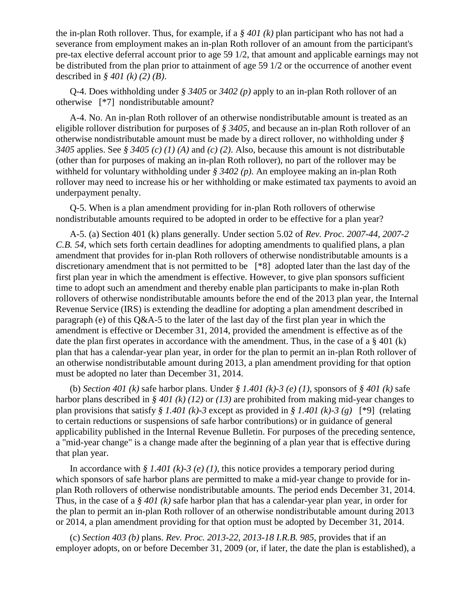the in-plan Roth rollover. Thus, for example, if a *§ 401 (k)* plan participant who has not had a severance from employment makes an in-plan Roth rollover of an amount from the participant's pre-tax elective deferral account prior to age 59 1/2, that amount and applicable earnings may not be distributed from the plan prior to attainment of age 59 1/2 or the occurrence of another event described in *§ 401 (k) (2) (B)*.

Q-4. Does withholding under *§ 3405* or *3402 (p)* apply to an in-plan Roth rollover of an otherwise [\*7] nondistributable amount?

A-4. No. An in-plan Roth rollover of an otherwise nondistributable amount is treated as an eligible rollover distribution for purposes of *§ 3405*, and because an in-plan Roth rollover of an otherwise nondistributable amount must be made by a direct rollover, no withholding under *§ 3405* applies. See *§ 3405 (c) (1) (A)* and *(c) (2)*. Also, because this amount is not distributable (other than for purposes of making an in-plan Roth rollover), no part of the rollover may be withheld for voluntary withholding under *§ 3402 (p)*. An employee making an in-plan Roth rollover may need to increase his or her withholding or make estimated tax payments to avoid an underpayment penalty.

Q-5. When is a plan amendment providing for in-plan Roth rollovers of otherwise nondistributable amounts required to be adopted in order to be effective for a plan year?

A-5. (a) Section 401 (k) plans generally. Under section 5.02 of *Rev. Proc. 2007-44, 2007-2 C.B. 54*, which sets forth certain deadlines for adopting amendments to qualified plans, a plan amendment that provides for in-plan Roth rollovers of otherwise nondistributable amounts is a discretionary amendment that is not permitted to be [\*8] adopted later than the last day of the first plan year in which the amendment is effective. However, to give plan sponsors sufficient time to adopt such an amendment and thereby enable plan participants to make in-plan Roth rollovers of otherwise nondistributable amounts before the end of the 2013 plan year, the Internal Revenue Service (IRS) is extending the deadline for adopting a plan amendment described in paragraph (e) of this Q&A-5 to the later of the last day of the first plan year in which the amendment is effective or December 31, 2014, provided the amendment is effective as of the date the plan first operates in accordance with the amendment. Thus, in the case of a  $\S 401 (k)$ plan that has a calendar-year plan year, in order for the plan to permit an in-plan Roth rollover of an otherwise nondistributable amount during 2013, a plan amendment providing for that option must be adopted no later than December 31, 2014.

(b) *Section 401 (k)* safe harbor plans. Under *§ 1.401 (k)-3 (e) (1)*, sponsors of *§ 401 (k)* safe harbor plans described in *§ 401 (k) (12)* or *(13)* are prohibited from making mid-year changes to plan provisions that satisfy *§ 1.401 (k)-3* except as provided in *§ 1.401 (k)-3 (g)* [\*9] (relating to certain reductions or suspensions of safe harbor contributions) or in guidance of general applicability published in the Internal Revenue Bulletin. For purposes of the preceding sentence, a "mid-year change" is a change made after the beginning of a plan year that is effective during that plan year.

In accordance with *§ 1.401 (k)-3 (e) (1)*, this notice provides a temporary period during which sponsors of safe harbor plans are permitted to make a mid-year change to provide for inplan Roth rollovers of otherwise nondistributable amounts. The period ends December 31, 2014. Thus, in the case of a *§ 401 (k)* safe harbor plan that has a calendar-year plan year, in order for the plan to permit an in-plan Roth rollover of an otherwise nondistributable amount during 2013 or 2014, a plan amendment providing for that option must be adopted by December 31, 2014.

(c) *Section 403 (b)* plans. *Rev. Proc. 2013-22, 2013-18 I.R.B. 985*, provides that if an employer adopts, on or before December 31, 2009 (or, if later, the date the plan is established), a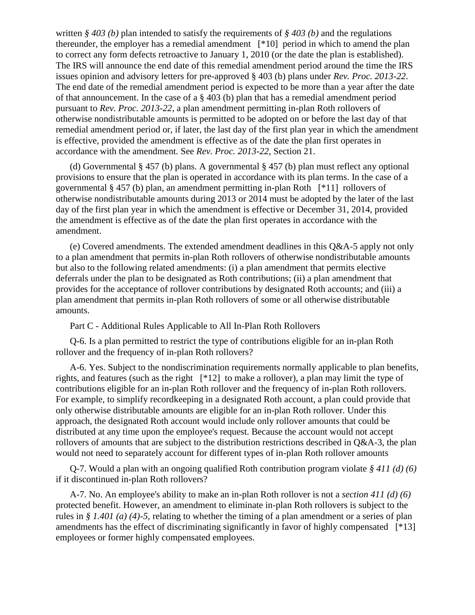written *§ 403 (b)* plan intended to satisfy the requirements of *§ 403 (b)* and the regulations thereunder, the employer has a remedial amendment [\*10] period in which to amend the plan to correct any form defects retroactive to January 1, 2010 (or the date the plan is established). The IRS will announce the end date of this remedial amendment period around the time the IRS issues opinion and advisory letters for pre-approved § 403 (b) plans under *Rev. Proc. 2013-22*. The end date of the remedial amendment period is expected to be more than a year after the date of that announcement. In the case of a  $\S$  403 (b) plan that has a remedial amendment period pursuant to *Rev. Proc. 2013-22*, a plan amendment permitting in-plan Roth rollovers of otherwise nondistributable amounts is permitted to be adopted on or before the last day of that remedial amendment period or, if later, the last day of the first plan year in which the amendment is effective, provided the amendment is effective as of the date the plan first operates in accordance with the amendment. See *Rev. Proc. 2013-22*, Section 21.

(d) Governmental § 457 (b) plans. A governmental § 457 (b) plan must reflect any optional provisions to ensure that the plan is operated in accordance with its plan terms. In the case of a governmental § 457 (b) plan, an amendment permitting in-plan Roth [\*11] rollovers of otherwise nondistributable amounts during 2013 or 2014 must be adopted by the later of the last day of the first plan year in which the amendment is effective or December 31, 2014, provided the amendment is effective as of the date the plan first operates in accordance with the amendment.

(e) Covered amendments. The extended amendment deadlines in this Q&A-5 apply not only to a plan amendment that permits in-plan Roth rollovers of otherwise nondistributable amounts but also to the following related amendments: (i) a plan amendment that permits elective deferrals under the plan to be designated as Roth contributions; (ii) a plan amendment that provides for the acceptance of rollover contributions by designated Roth accounts; and (iii) a plan amendment that permits in-plan Roth rollovers of some or all otherwise distributable amounts.

Part C - Additional Rules Applicable to All In-Plan Roth Rollovers

Q-6. Is a plan permitted to restrict the type of contributions eligible for an in-plan Roth rollover and the frequency of in-plan Roth rollovers?

A-6. Yes. Subject to the nondiscrimination requirements normally applicable to plan benefits, rights, and features (such as the right [\*12] to make a rollover), a plan may limit the type of contributions eligible for an in-plan Roth rollover and the frequency of in-plan Roth rollovers. For example, to simplify recordkeeping in a designated Roth account, a plan could provide that only otherwise distributable amounts are eligible for an in-plan Roth rollover. Under this approach, the designated Roth account would include only rollover amounts that could be distributed at any time upon the employee's request. Because the account would not accept rollovers of amounts that are subject to the distribution restrictions described in Q&A-3, the plan would not need to separately account for different types of in-plan Roth rollover amounts

Q-7. Would a plan with an ongoing qualified Roth contribution program violate *§ 411 (d) (6)* if it discontinued in-plan Roth rollovers?

A-7. No. An employee's ability to make an in-plan Roth rollover is not a *section 411 (d) (6)* protected benefit. However, an amendment to eliminate in-plan Roth rollovers is subject to the rules in *§ 1.401 (a) (4)-5*, relating to whether the timing of a plan amendment or a series of plan amendments has the effect of discriminating significantly in favor of highly compensated [\*13] employees or former highly compensated employees.